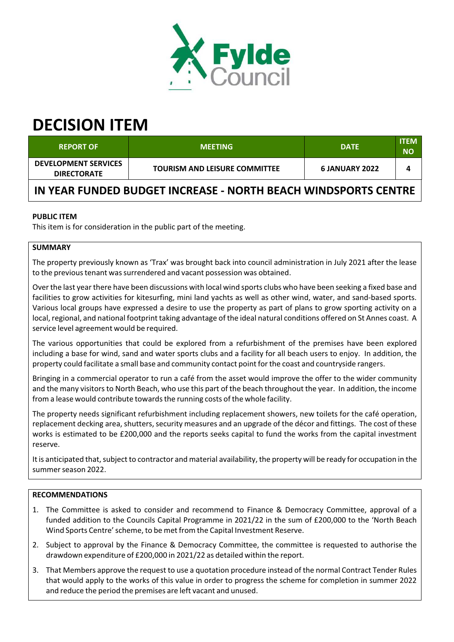

# **DECISION ITEM**

| <b>REPORT OF</b>                                               | <b>MEETING</b>                       | <b>DATE</b>           | <b>ITEM</b><br><b>NO</b> |  |  |
|----------------------------------------------------------------|--------------------------------------|-----------------------|--------------------------|--|--|
| <b>DEVELOPMENT SERVICES</b><br><b>DIRECTORATE</b>              | <b>TOURISM AND LEISURE COMMITTEE</b> | <b>6 JANUARY 2022</b> |                          |  |  |
| IN YEAR FUNDED BUDGET INCREASE - NORTH BEACH WINDSPORTS CENTRE |                                      |                       |                          |  |  |

## **PUBLIC ITEM**

This item is for consideration in the public part of the meeting.

# **SUMMARY**

The property previously known as 'Trax' was brought back into council administration in July 2021 after the lease to the previous tenant was surrendered and vacant possession was obtained.

Over the last year there have been discussions with local wind sports clubs who have been seeking a fixed base and facilities to grow activities for kitesurfing, mini land yachts as well as other wind, water, and sand-based sports. Various local groups have expressed a desire to use the property as part of plans to grow sporting activity on a local, regional, and national footprint taking advantage of the ideal natural conditions offered on St Annes coast. A service level agreement would be required.

The various opportunities that could be explored from a refurbishment of the premises have been explored including a base for wind, sand and water sports clubs and a facility for all beach users to enjoy. In addition, the property could facilitate a small base and community contact point forthe coast and countryside rangers.

Bringing in a commercial operator to run a café from the asset would improve the offer to the wider community and the many visitors to North Beach, who use this part of the beach throughout the year. In addition, the income from a lease would contribute towards the running costs of the whole facility.

The property needs significant refurbishment including replacement showers, new toilets for the café operation, replacement decking area, shutters, security measures and an upgrade of the décor and fittings. The cost of these works is estimated to be £200,000 and the reports seeks capital to fund the works from the capital investment reserve.

It is anticipated that, subject to contractor and material availability, the property will be ready for occupation in the summer season 2022.

## **RECOMMENDATIONS**

- 1. The Committee is asked to consider and recommend to Finance & Democracy Committee, approval of a funded addition to the Councils Capital Programme in 2021/22 in the sum of £200,000 to the 'North Beach Wind Sports Centre' scheme, to be met from the Capital Investment Reserve.
- 2. Subject to approval by the Finance & Democracy Committee, the committee is requested to authorise the drawdown expenditure of £200,000 in 2021/22 as detailed within the report.
- 3. That Members approve the request to use a quotation procedure instead of the normal Contract Tender Rules that would apply to the works of this value in order to progress the scheme for completion in summer 2022 and reduce the period the premises are left vacant and unused.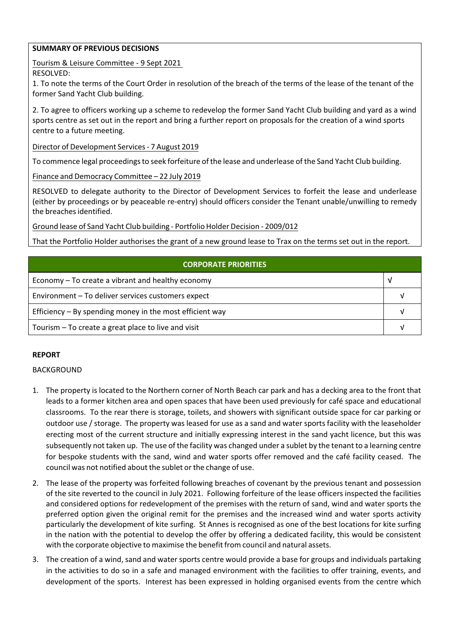#### **SUMMARY OF PREVIOUS DECISIONS**

Tourism & Leisure Committee ‐ 9 Sept 2021

RESOLVED:

1. To note the terms of the Court Order in resolution of the breach of the terms of the lease of the tenant of the former Sand Yacht Club building.

2. To agree to officers working up a scheme to redevelop the former Sand Yacht Club building and yard as a wind sports centre as set out in the report and bring a further report on proposals for the creation of a wind sports centre to a future meeting.

Director of Development Services‐ 7 August 2019

To commence legal proceedings to seek forfeiture of the lease and underlease of the Sand Yacht Club building.

Finance and Democracy Committee – 22 July 2019

RESOLVED to delegate authority to the Director of Development Services to forfeit the lease and underlease (either by proceedings or by peaceable re‐entry) should officers consider the Tenant unable/unwilling to remedy the breaches identified.

Ground lease of Sand Yacht Club building ‐ Portfolio Holder Decision ‐ 2009/012

That the Portfolio Holder authorises the grant of a new ground lease to Trax on the terms set out in the report.

| CORPORATE PRIORITIES                                     |  |  |
|----------------------------------------------------------|--|--|
| Economy – To create a vibrant and healthy economy        |  |  |
| Environment - To deliver services customers expect       |  |  |
| Efficiency – By spending money in the most efficient way |  |  |
| Tourism – To create a great place to live and visit      |  |  |

## **REPORT**

## BACKGROUND

- 1. The property is located to the Northern corner of North Beach car park and has a decking area to the front that leads to a former kitchen area and open spaces that have been used previously for café space and educational classrooms. To the rear there is storage, toilets, and showers with significant outside space for car parking or outdoor use / storage. The property was leased for use as a sand and water sports facility with the leaseholder erecting most of the current structure and initially expressing interest in the sand yacht licence, but this was subsequently not taken up. The use of the facility was changed under a sublet by the tenant to a learning centre for bespoke students with the sand, wind and water sports offer removed and the café facility ceased. The council was not notified about the sublet or the change of use.
- 2. The lease of the property was forfeited following breaches of covenant by the previous tenant and possession of the site reverted to the council in July 2021. Following forfeiture of the lease officers inspected the facilities and considered options for redevelopment of the premises with the return of sand, wind and water sports the preferred option given the original remit for the premises and the increased wind and water sports activity particularly the development of kite surfing. St Annes is recognised as one of the best locations for kite surfing in the nation with the potential to develop the offer by offering a dedicated facility, this would be consistent with the corporate objective to maximise the benefit from council and natural assets.
- 3. The creation of a wind, sand and water sports centre would provide a base for groups and individuals partaking in the activities to do so in a safe and managed environment with the facilities to offer training, events, and development of the sports. Interest has been expressed in holding organised events from the centre which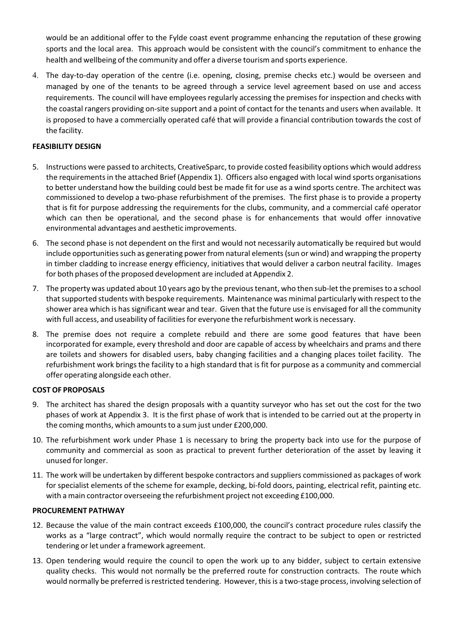would be an additional offer to the Fylde coast event programme enhancing the reputation of these growing sports and the local area. This approach would be consistent with the council's commitment to enhance the health and wellbeing of the community and offer a diverse tourism and sports experience.

4. The day‐to‐day operation of the centre (i.e. opening, closing, premise checks etc.) would be overseen and managed by one of the tenants to be agreed through a service level agreement based on use and access requirements. The council will have employees regularly accessing the premises for inspection and checks with the coastal rangers providing on‐site support and a point of contact for the tenants and users when available. It is proposed to have a commercially operated café that will provide a financial contribution towards the cost of the facility.

#### **FEASIBILITY DESIGN**

- 5. Instructions were passed to architects, CreativeSparc, to provide costed feasibility options which would address the requirementsin the attached Brief (Appendix 1). Officers also engaged with local wind sports organisations to better understand how the building could best be made fit for use as a wind sports centre. The architect was commissioned to develop a two‐phase refurbishment of the premises. The first phase is to provide a property that is fit for purpose addressing the requirements for the clubs, community, and a commercial café operator which can then be operational, and the second phase is for enhancements that would offer innovative environmental advantages and aesthetic improvements.
- 6. The second phase is not dependent on the first and would not necessarily automatically be required but would include opportunities such as generating power from natural elements (sun or wind) and wrapping the property in timber cladding to increase energy efficiency, initiatives that would deliver a carbon neutral facility. Images for both phases of the proposed development are included at Appendix 2.
- 7. The property was updated about 10 years ago by the previous tenant, who then sub-let the premises to a school that supported students with bespoke requirements. Maintenance was minimal particularly with respect to the shower area which is hassignificant wear and tear. Given that the future use is envisaged for all the community with full access, and useability of facilities for everyone the refurbishment work is necessary.
- 8. The premise does not require a complete rebuild and there are some good features that have been incorporated for example, every threshold and door are capable of access by wheelchairs and prams and there are toilets and showers for disabled users, baby changing facilities and a changing places toilet facility. The refurbishment work brings the facility to a high standard that is fit for purpose as a community and commercial offer operating alongside each other.

#### **COST OF PROPOSALS**

- 9. The architect has shared the design proposals with a quantity surveyor who has set out the cost for the two phases of work at Appendix 3. It is the first phase of work that is intended to be carried out at the property in the coming months, which amounts to a sum just under £200,000.
- 10. The refurbishment work under Phase 1 is necessary to bring the property back into use for the purpose of community and commercial as soon as practical to prevent further deterioration of the asset by leaving it unused forlonger.
- 11. The work will be undertaken by different bespoke contractors and suppliers commissioned as packages of work for specialist elements of the scheme for example, decking, bi-fold doors, painting, electrical refit, painting etc. with a main contractor overseeing the refurbishment project not exceeding £100,000.

#### **PROCUREMENT PATHWAY**

- 12. Because the value of the main contract exceeds £100,000, the council's contract procedure rules classify the works as a "large contract", which would normally require the contract to be subject to open or restricted tendering or let under a framework agreement.
- 13. Open tendering would require the council to open the work up to any bidder, subject to certain extensive quality checks. This would not normally be the preferred route for construction contracts. The route which would normally be preferred is restricted tendering. However, this is a two-stage process, involving selection of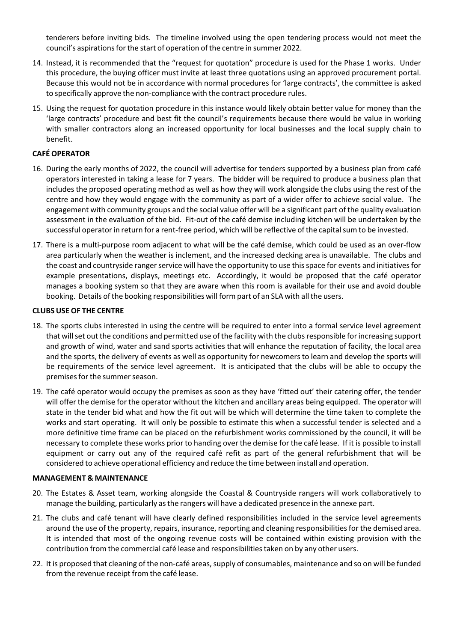tenderers before inviting bids. The timeline involved using the open tendering process would not meet the council's aspirations for the start of operation of the centre in summer 2022.

- 14. Instead, it is recommended that the "request for quotation" procedure is used for the Phase 1 works. Under this procedure, the buying officer must invite at least three quotations using an approved procurement portal. Because this would not be in accordance with normal procedures for 'large contracts', the committee is asked to specifically approve the non‐compliance with the contract procedure rules.
- 15. Using the request for quotation procedure in this instance would likely obtain better value for money than the 'large contracts' procedure and best fit the council's requirements because there would be value in working with smaller contractors along an increased opportunity for local businesses and the local supply chain to benefit.

#### **CAFÉ OPERATOR**

- 16. During the early months of 2022, the council will advertise for tenders supported by a business plan from café operators interested in taking a lease for 7 years. The bidder will be required to produce a business plan that includes the proposed operating method as well as how they will work alongside the clubs using the rest of the centre and how they would engage with the community as part of a wider offer to achieve social value. The engagement with community groups and the social value offer will be a significant part of the quality evaluation assessment in the evaluation of the bid. Fit-out of the café demise including kitchen will be undertaken by the successful operator in return for a rent-free period, which will be reflective of the capital sum to be invested.
- 17. There is a multi‐purpose room adjacent to what will be the café demise, which could be used as an over‐flow area particularly when the weather is inclement, and the increased decking area is unavailable. The clubs and the coast and countryside ranger service will have the opportunity to use this space for events and initiatives for example presentations, displays, meetings etc. Accordingly, it would be proposed that the café operator manages a booking system so that they are aware when this room is available for their use and avoid double booking. Details of the booking responsibilities will form part of an SLA with all the users.

#### **CLUBS USE OF THE CENTRE**

- 18. The sports clubs interested in using the centre will be required to enter into a formal service level agreement that will set out the conditions and permitted use of the facility with the clubs responsible for increasing support and growth of wind, water and sand sports activities that will enhance the reputation of facility, the local area and the sports, the delivery of events as well as opportunity for newcomers to learn and develop the sports will be requirements of the service level agreement. It is anticipated that the clubs will be able to occupy the premises for the summer season.
- 19. The café operator would occupy the premises as soon as they have 'fitted out' their catering offer, the tender will offer the demise for the operator without the kitchen and ancillary areas being equipped. The operator will state in the tender bid what and how the fit out will be which will determine the time taken to complete the works and start operating. It will only be possible to estimate this when a successful tender is selected and a more definitive time frame can be placed on the refurbishment works commissioned by the council, it will be necessary to complete these works prior to handing over the demise for the café lease. If it is possible to install equipment or carry out any of the required café refit as part of the general refurbishment that will be considered to achieve operational efficiency and reduce the time between install and operation.

#### **MANAGEMENT & MAINTENANCE**

- 20. The Estates & Asset team, working alongside the Coastal & Countryside rangers will work collaboratively to manage the building, particularly asthe rangers will have a dedicated presence in the annexe part.
- 21. The clubs and café tenant will have clearly defined responsibilities included in the service level agreements around the use of the property, repairs, insurance, reporting and cleaning responsibilitiesfor the demised area. It is intended that most of the ongoing revenue costs will be contained within existing provision with the contribution from the commercial café lease and responsibilitiestaken on by any other users.
- 22. It is proposed that cleaning of the non-café areas, supply of consumables, maintenance and so on will be funded from the revenue receipt from the café lease.